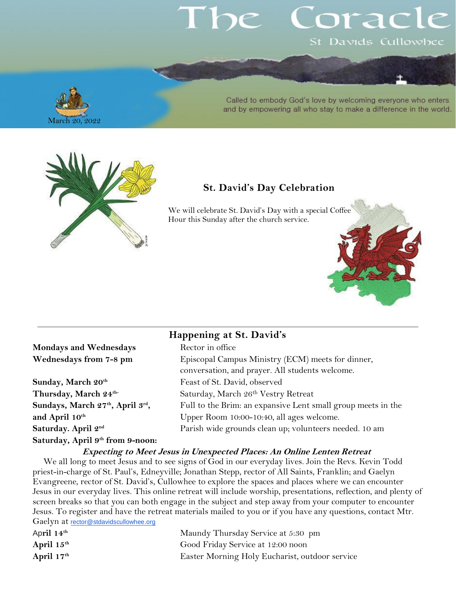# orac St Davids Cullowhee

March 20, 2022

Called to embody God's love by welcoming everyone who enters and by empowering all who stay to make a difference in the world.



## **St. David's Day Celebration**

We will celebrate St. David's Day with a special Coffee Hour this Sunday after the church service.



### **Mondays and Wednesdays Wednesdays from 7-8 pm**

Sunday, March 20<sup>th</sup> Thursday, March 24<sup>th-</sup> **Sundays, March 27th, April 3rd** and April 10<sup>th</sup> Saturday. April 2<sup>nd</sup> **Saturday, April 9 th from 9-noon:**

### **Happening at St. David's**

|    | Rector in office                                             |
|----|--------------------------------------------------------------|
|    | Episcopal Campus Ministry (ECM) meets for dinner,            |
|    | conversation, and prayer. All students welcome.              |
|    | Feast of St. David, observed                                 |
|    | Saturday, March 26th Vestry Retreat                          |
|    | Full to the Brim: an expansive Lent small group meets in the |
|    | Upper Room 10:00-10:40, all ages welcome.                    |
|    | Parish wide grounds clean up; volunteers needed. 10 am       |
| m. |                                                              |

#### **Expecting to Meet Jesus in Unexpected Places: An Online Lenten Retreat**

We all long to meet Jesus and to see signs of God in our everyday lives. Join the Revs. Kevin Todd priest-in-charge of St. Paul's, Edneyville; Jonathan Stepp, rector of All Saints, Franklin; and Gaelyn Evangreene, rector of St. David's, Cullowhee to explore the spaces and places where we can encounter Jesus in our everyday lives. This online retreat will include worship, presentations, reflection, and plenty of screen breaks so that you can both engage in the subject and step away from your computer to encounter Jesus. To register and have the retreat materials mailed to you or if you have any questions, contact Mtr. Gaelyn at [rector@stdavidscullowhee.org](mailto:rector@stdavidscullowhee.org)

| Maundy Thursday Service at 5:30 pm             |
|------------------------------------------------|
| Good Friday Service at 12:00 noon              |
| Easter Morning Holy Eucharist, outdoor service |
|                                                |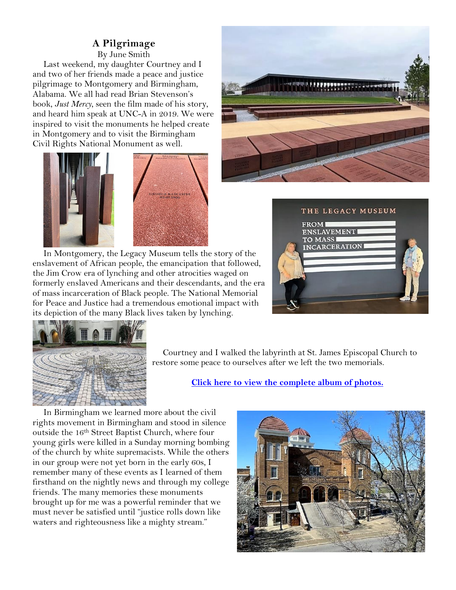## **A Pilgrimage**

By June Smith

Last weekend, my daughter Courtney and I and two of her friends made a peace and justice pilgrimage to Montgomery and Birmingham, Alabama. We all had read Brian Stevenson's book, *Just Mercy*, seen the film made of his story, and heard him speak at UNC-A in 2019. We were inspired to visit the monuments he helped create in Montgomery and to visit the Birmingham Civil Rights National Monument as well.



In Montgomery, the Legacy Museum tells the story of the enslavement of African people, the emancipation that followed, the Jim Crow era of lynching and other atrocities waged on formerly enslaved Americans and their descendants, and the era of mass incarceration of Black people. The National Memorial for Peace and Justice had a tremendous emotional impact with its depiction of the many Black lives taken by lynching.







Courtney and I walked the labyrinth at St. James Episcopal Church to restore some peace to ourselves after we left the two memorials.

#### **Click here to view the [complete album of photos.](https://photos.app.goo.gl/o58LHFGQ2cxzMieQ8)**

In Birmingham we learned more about the civil rights movement in Birmingham and stood in silence outside the 16<sup>th</sup> Street Baptist Church, where four young girls were killed in a Sunday morning bombing of the church by white supremacists. While the others in our group were not yet born in the early 60s, I remember many of these events as I learned of them firsthand on the nightly news and through my college friends. The many memories these monuments brought up for me was a powerful reminder that we must never be satisfied until "justice rolls down like waters and righteousness like a mighty stream."

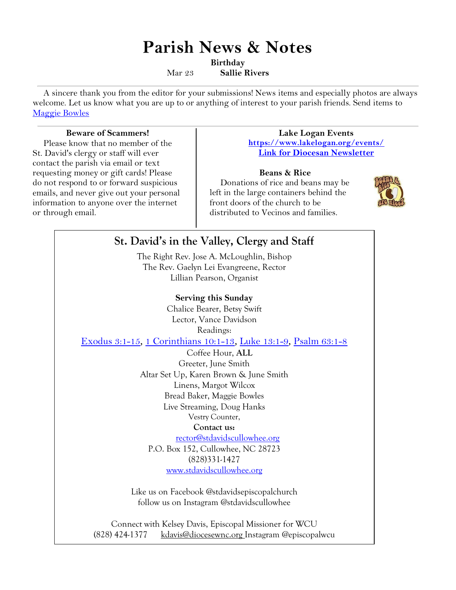# **Parish News & Notes**

**Birthday**

Mar 23 **Sallie Rivers**

A sincere thank you from the editor for your submissions! News items and especially photos are always welcome. Let us know what you are up to or anything of interest to your parish friends. Send items to [Maggie Bowles](mailto:magbowles@gmail.com)

#### **Beware of Scammers!**

Please know that no member of the St. David's clergy or staff will ever contact the parish via email or text requesting money or gift cards! Please do not respond to or forward suspicious emails, and never give out your personal information to anyone over the internet or through email.

#### **Lake Logan Events <https://www.lakelogan.org/events/> [Link for Diocesan Newsletter](https://files.ctctusercontent.com/bcd32219001/75075db9-7c0d-488e-ad4e-ddfa7bb70a84.pdf?rdr=true)**

#### **Beans & Rice**

Donations of rice and beans may be left in the large containers behind the front doors of the church to be distributed to Vecinos and families.



## **St. David's in the Valley, Clergy and Staff** The Right Rev. Jose A. McLoughlin, Bishop The Rev. Gaelyn Lei Evangreene, Rector Lillian Pearson, Organist **Serving this Sunday** Chalice Bearer, Betsy Swift Lector, Vance Davidson Readings: [Exodus 3:1-15](http://lectionarypage.net/YearC_RCL/Lent/CLent3_RCL.html#ot1), [1 Corinthians 10:1-13](http://lectionarypage.net/YearC_RCL/Lent/CLent3_RCL.html#nt1), [Luke 13:1-9](http://lectionarypage.net/YearC_RCL/Lent/CLent3_RCL.html#gsp1), [Psalm 63:1-8](http://lectionarypage.net/YearC_RCL/Lent/CLent3_RCL.html#ps1) Coffee Hour, **ALL** Greeter, June Smith Altar Set Up, Karen Brown & June Smith Linens, Margot Wilcox Bread Baker, Maggie Bowles Live Streaming, Doug Hanks Vestry Counter, **Contact us:** [rector@stdavidscullowhee.org](mailto:rector@stdavidscullowhee.org) P.O. Box 152, Cullowhee, NC 28723 (828)331-1427 [www.stdavidscullowhee.org](http://www.stdavidscullowhee.org/) Like us on Facebook @stdavidsepiscopalchurch follow us on Instagram @stdavidscullowhee

Connect with Kelsey Davis, Episcopal Missioner for WCU (828) 424-1377 [kdavis@diocesewnc.org](mailto:kdavis@diocesewnc.org) Instagram @episcopalwcu